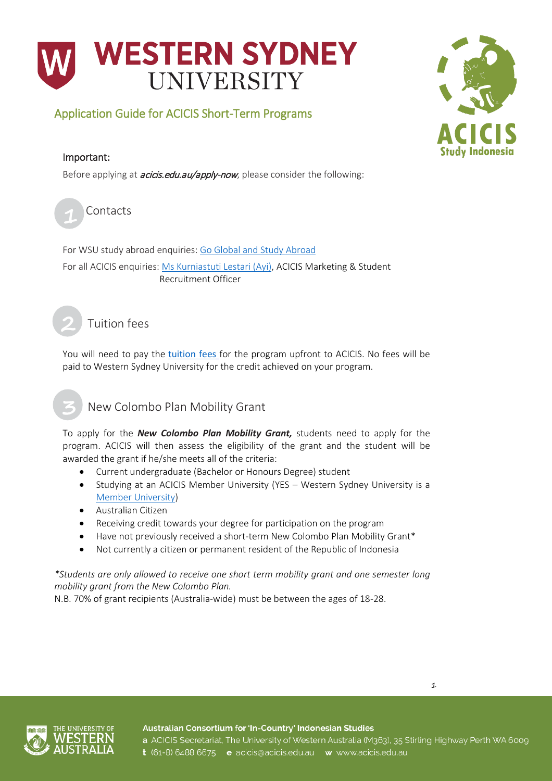

## Application Guide for ACICIS Short-Term Programs

#### Important:

Before applying at *[acicis.edu.au/apply-now](http://acicis.edu.au/apply-now)*, please consider the following:



**2**

For WSU study abroad enquiries[: Go Global and Study Abroad](mailto:goglobal@westernsydney.edu.au) For all ACICIS enquiries: [Ms Kurniastuti Lestari \(Ayi\),](mailto:k.lestari@acicis.edu.au) ACICIS Marketing & Student Recruitment Officer

Tuition fees

You will need to pay the [tuition fees](https://www.acicis.edu.au/programs/practicum/costs/) for the program upfront to ACICIS. No fees will be paid to Western Sydney University for the credit achieved on your program.

# New Colombo Plan Mobility Grant

To apply for the *[New Colombo Plan Mobility Grant,](http://www.acicis.edu.au/study-in-indonesia/financial-help/)* students need to apply for the program. ACICIS will then assess the eligibility of the grant and the student will be awarded the grant if he/she meets all of the criteria:

- Current undergraduate (Bachelor or Honours Degree) student
- Studying at an ACICIS Member University (YES Western Sydney University is a [Member University\)](https://www.acicis.edu.au/universities/member/)
- Australian Citizen
- Receiving credit towards your degree for participation on the program
- Have not previously received a short-term New Colombo Plan Mobility Grant\*
- Not currently a citizen or permanent resident of the Republic of Indonesia

*\*Students are only allowed to receive one short term mobility grant and one semester long mobility grant from the New Colombo Plan.*

N.B. 70% of grant recipients (Australia-wide) must be between the ages of 18-28.



Australian Consortium for 'In-Country' Indonesian Studies a ACICIS Secretariat, The University of Western Australia (M363), 35 Stirling Highway Perth WA 6009 t (61-8) 6488 6675 e acicis@acicis.edu.au w www.acicis.edu.au

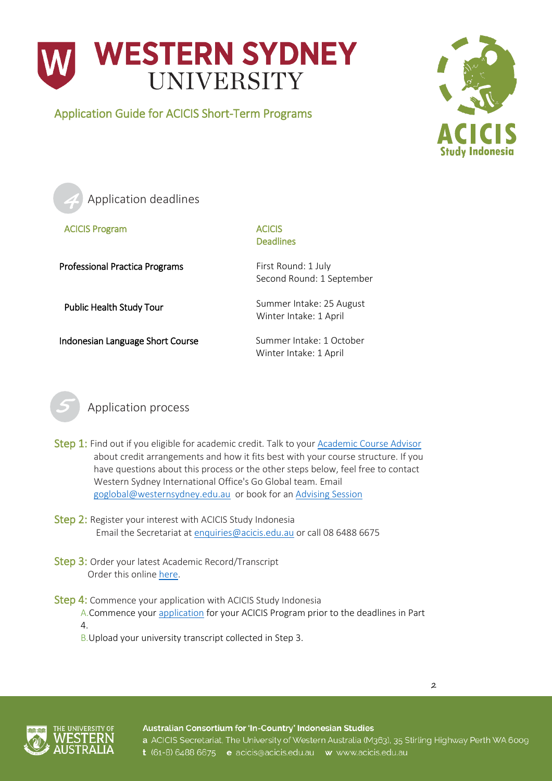

Application Guide for ACICIS Short-Term Programs





ACICIS Program ACICIS

# Deadlines

Professional Practica Programs First Round: 1 July

Indonesian Language Short Course Summer Intake: 1 October

Second Round: 1 September

Public Health Study Tour Summer Intake: 25 August Winter Intake: 1 April

Winter Intake: 1 April



Application process

- Step 1: Find out if you eligible for academic credit. Talk to your [Academic Course Advisor](https://www.westernsydney.edu.au/about/schools_research_institutes) about credit arrangements and how it fits best with your course structure. If you have questions about this process or the other steps below, feel free to contact Western Sydney International Office's Go Global team. Email [goglobal@westernsydney.edu.au](mailto:goglobal@westernsydney.edu.au) or book for a[n Advising Session](https://wsugoglobaladvisingappts.youcanbook.me/)
- Step 2: Register your interest with ACICIS Study Indonesia Email the Secretariat at [enquiries@acicis.edu.au](mailto:enquiries@acicis.edu.au) or call 08 6488 6675
- Step 3: Order your latest Academic Record/Transcript Order this onlin[e here.](https://www.westernsydney.edu.au/graduation_ceremonies/graduating/documents/academic_transcript)
- Step 4: Commence your application with ACICIS Study Indonesia
	- A.Commence your [application](http://www.acicis.edu.au/apply-now/) for your ACICIS Program prior to the deadlines in Part 4.
	- B.Upload your university transcript collected in Step 3.



Australian Consortium for 'In-Country' Indonesian Studies a ACICIS Secretariat, The University of Western Australia (M363), 35 Stirling Highway Perth WA 6009 t (61-8) 6488 6675 e acicis@acicis.edu.au w www.acicis.edu.au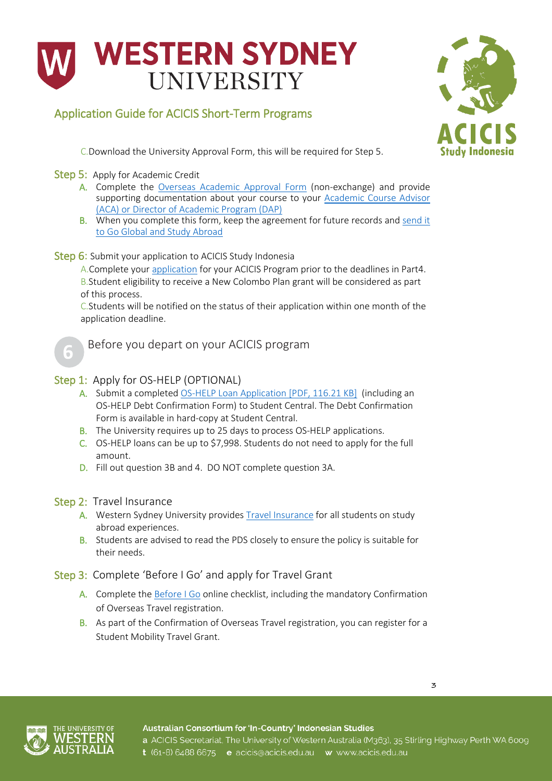# **WESTERN SYDNEY UNIVERSITY**

# Application Guide for ACICIS Short-Term Programs



C.Download the University Approval Form, this will be required for Step 5.

#### Step 5: Apply for Academic Credit

- A. Complete the [Overseas Academic Approval Form](https://www.westernsydney.edu.au/globalmobility/goglobal/home/apply_to_go/academic_approval_non-exchange) (non-exchange) and provide supporting documentation about your course to your [Academic Course Advisor](https://www.westernsydney.edu.au/about/schools_research_institutes)  [\(ACA\) or Director of Academic Program \(DAP\)](https://www.westernsydney.edu.au/about/schools_research_institutes)
- B. When you complete this form, keep the agreement for future records and [send it](mailto:goglobal@westernsydney.edu.au?subject=Academic%20Approval%20Form%20for%20ACICIS%20program)  [to Go Global and Study Abroad](mailto:goglobal@westernsydney.edu.au?subject=Academic%20Approval%20Form%20for%20ACICIS%20program)

#### Step 6: Submit your application to ACICIS Study Indonesia

A.Complete your [application](http://www.acicis.edu.au/apply-now/) for your ACICIS Program prior to the deadlines in Part4. B.Student eligibility to receive a New Colombo Plan grant will be considered as part of this process.

C.Students will be notified on the status of their application within one month of the application deadline.



Before you depart on your ACICIS program

#### Step 1: Apply for OS-HELP (OPTIONAL)

- A. Submit a completed [OS-HELP Loan Application \[PDF, 116.21 KB\]](https://www.westernsydney.edu.au/__data/assets/pdf_file/0010/199180/OS-HELP_Assistance_Application-2018.pdf) (including an OS-HELP Debt Confirmation Form) to Student Central. The Debt Confirmation Form is available in hard-copy at Student Central.
- B. The University requires up to 25 days to process OS-HELP applications.
- C. OS-HELP loans can be up to \$7,998. Students do not need to apply for the full amount.
- D. Fill out question 3B and 4. DO NOT complete question 3A.

#### Step 2: Travel Insurance

- A. Western Sydney University provides [Travel Insurance](https://www.westernsydney.edu.au/finance_office/finance/overseas_travel_insurance) for all students on study abroad experiences.
- B. Students are advised to read the PDS closely to ensure the policy is suitable for their needs.

#### Step 3: Complete 'Before I Go' and apply for Travel Grant

- A. Complete the [Before I Go](https://www.westernsydney.edu.au/globalmobility/goglobal/home/before_i_go) online checklist, including the mandatory Confirmation of Overseas Travel registration.
- B. As part of the Confirmation of Overseas Travel registration, you can register for a Student Mobility Travel Grant.